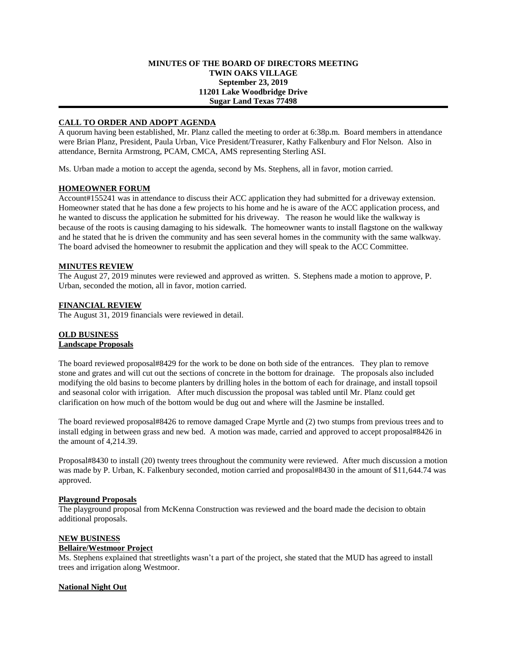### **MINUTES OF THE BOARD OF DIRECTORS MEETING TWIN OAKS VILLAGE September 23, 2019 11201 Lake Woodbridge Drive Sugar Land Texas 77498**

# **CALL TO ORDER AND ADOPT AGENDA**

A quorum having been established, Mr. Planz called the meeting to order at 6:38p.m. Board members in attendance were Brian Planz, President, Paula Urban, Vice President/Treasurer, Kathy Falkenbury and Flor Nelson. Also in attendance, Bernita Armstrong, PCAM, CMCA, AMS representing Sterling ASI.

Ms. Urban made a motion to accept the agenda, second by Ms. Stephens, all in favor, motion carried.

## **HOMEOWNER FORUM**

Account#155241 was in attendance to discuss their ACC application they had submitted for a driveway extension. Homeowner stated that he has done a few projects to his home and he is aware of the ACC application process, and he wanted to discuss the application he submitted for his driveway. The reason he would like the walkway is because of the roots is causing damaging to his sidewalk. The homeowner wants to install flagstone on the walkway and he stated that he is driven the community and has seen several homes in the community with the same walkway. The board advised the homeowner to resubmit the application and they will speak to the ACC Committee.

## **MINUTES REVIEW**

The August 27, 2019 minutes were reviewed and approved as written. S. Stephens made a motion to approve, P. Urban, seconded the motion, all in favor, motion carried.

## **FINANCIAL REVIEW**

The August 31, 2019 financials were reviewed in detail.

#### **OLD BUSINESS Landscape Proposals**

The board reviewed proposal#8429 for the work to be done on both side of the entrances. They plan to remove stone and grates and will cut out the sections of concrete in the bottom for drainage. The proposals also included modifying the old basins to become planters by drilling holes in the bottom of each for drainage, and install topsoil and seasonal color with irrigation. After much discussion the proposal was tabled until Mr. Planz could get clarification on how much of the bottom would be dug out and where will the Jasmine be installed.

The board reviewed proposal#8426 to remove damaged Crape Myrtle and (2) two stumps from previous trees and to install edging in between grass and new bed. A motion was made, carried and approved to accept proposal#8426 in the amount of 4,214.39.

Proposal#8430 to install (20) twenty trees throughout the community were reviewed. After much discussion a motion was made by P. Urban, K. Falkenbury seconded, motion carried and proposal#8430 in the amount of \$11,644.74 was approved.

#### **Playground Proposals**

The playground proposal from McKenna Construction was reviewed and the board made the decision to obtain additional proposals.

#### **NEW BUSINESS**

## **Bellaire/Westmoor Project**

Ms. Stephens explained that streetlights wasn't a part of the project, she stated that the MUD has agreed to install trees and irrigation along Westmoor.

## **National Night Out**